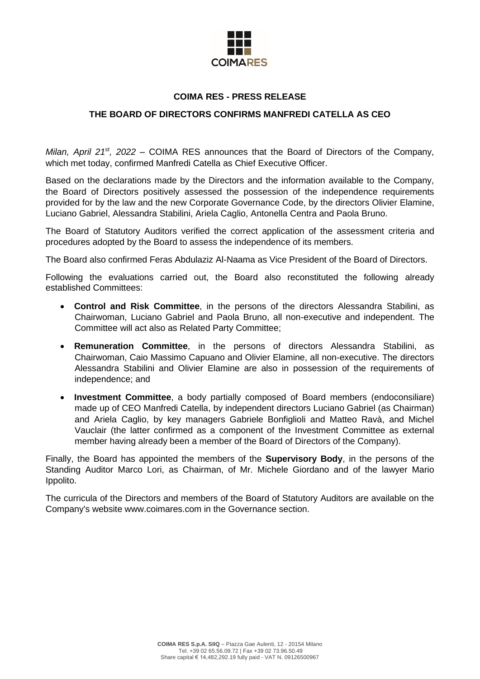

# **COIMA RES - PRESS RELEASE**

## **THE BOARD OF DIRECTORS CONFIRMS MANFREDI CATELLA AS CEO**

*Milan, April 21<sup>st</sup>, 2022* – COIMA RES announces that the Board of Directors of the Company, which met today, confirmed Manfredi Catella as Chief Executive Officer.

Based on the declarations made by the Directors and the information available to the Company, the Board of Directors positively assessed the possession of the independence requirements provided for by the law and the new Corporate Governance Code, by the directors Olivier Elamine, Luciano Gabriel, Alessandra Stabilini, Ariela Caglio, Antonella Centra and Paola Bruno.

The Board of Statutory Auditors verified the correct application of the assessment criteria and procedures adopted by the Board to assess the independence of its members.

The Board also confirmed Feras Abdulaziz Al-Naama as Vice President of the Board of Directors.

Following the evaluations carried out, the Board also reconstituted the following already established Committees:

- **Control and Risk Committee**, in the persons of the directors Alessandra Stabilini, as Chairwoman, Luciano Gabriel and Paola Bruno, all non-executive and independent. The Committee will act also as Related Party Committee;
- **Remuneration Committee**, in the persons of directors Alessandra Stabilini, as Chairwoman, Caio Massimo Capuano and Olivier Elamine, all non-executive. The directors Alessandra Stabilini and Olivier Elamine are also in possession of the requirements of independence; and
- **Investment Committee**, a body partially composed of Board members (endoconsiliare) made up of CEO Manfredi Catella, by independent directors Luciano Gabriel (as Chairman) and Ariela Caglio, by key managers Gabriele Bonfiglioli and Matteo Ravà, and Michel Vauclair (the latter confirmed as a component of the Investment Committee as external member having already been a member of the Board of Directors of the Company).

Finally, the Board has appointed the members of the **Supervisory Body**, in the persons of the Standing Auditor Marco Lori, as Chairman, of Mr. Michele Giordano and of the lawyer Mario Ippolito.

The curricula of the Directors and members of the Board of Statutory Auditors are available on the Company's website www.coimares.com in the Governance section.